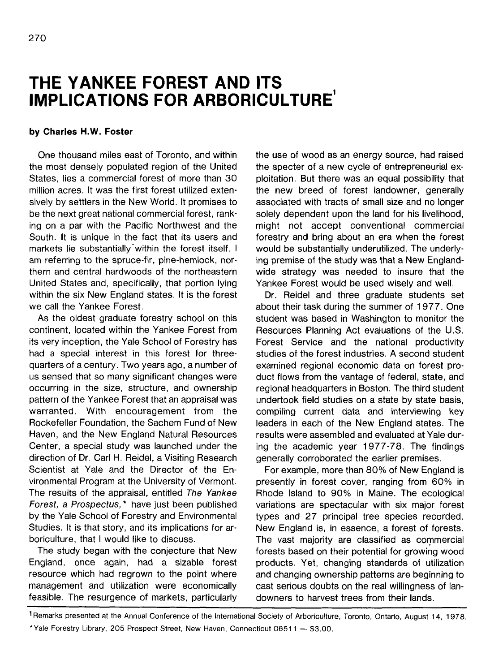## **THE YANKEE FOREST AND ITS IMPLICATIONS FOR ARBORICULTURE**<sup>1</sup>

## **by Charles H.W. Foster**

One thousand miles east of Toronto, and within the most densely populated region of the United States, lies a commercial forest of more than 30 million acres. It was the first forest utilized extensively by settlers in the New World. It promises to be the next great national commercial forest, ranking on a par with the Pacific Northwest and the South. It is unique in the fact that its users and markets lie substantially within the forest itself. I am referring to the spruce-fir, pine-hemlock, northern and central hardwoods of the northeastern United States and, specifically, that portion lying within the six New England states. It is the forest we call the Yankee Forest.

As the oldest graduate forestry school on this continent, located within the Yankee Forest from its very inception, the Yale School of Forestry has had a special interest in this forest for threequarters of a century. Two years ago, a number of us sensed that so many significant changes were occurring in the size, structure, and ownership pattern of the Yankee Forest that an appraisal was warranted. With encouragement from the Rockefeller Foundation, the Sachem Fund of New Haven, and the New England Natural Resources Center, a special study was launched under the direction of Dr. Carl H. Reidel, a Visiting Research Scientist at Yale and the Director of the Environmental Program at the University of Vermont. The results of the appraisal, entitled The Yankee Forest, a Prospectus, \* have just been published by the Yale School of Forestry and Environmental Studies. It is that story, and its implications for arboriculture, that I would like to discuss.

The study began with the conjecture that New England, once again, had a sizable forest resource which had regrown to the point where management and utilization were economically feasible. The resurgence of markets, particularly the use of wood as an energy source, had raised the specter of a new cycle of entrepreneurial exploitation. But there was an equal possibility that the new breed of forest landowner, generally associated with tracts of small size and no longer solely dependent upon the land for his livelihood, might not accept conventional commercial forestry and bring about an era when the forest would be substantially underutilized. The underlying premise of the study was that a New Englandwide strategy was needed to insure that the Yankee Forest would be used wisely and well.

Dr. Reidel and three graduate students set about their task during the summer of 1 977. One student was based in Washington to monitor the Resources Planning Act evaluations of the U.S. Forest Service and the national productivity studies of the forest industries. A second student examined regional economic data on forest product flows from the vantage of federal, state, and regional headquarters in Boston. The third student undertook field studies on a state by state basis, compiling current data and interviewing key leaders in each of the New England states. The results were assembled and evaluated at Yale during the academic year 1977-78. The findings generally corroborated the earlier premises.

For example, more than 80% of New England is presently in forest cover, ranging from 60% in Rhode Island to 90% in Maine. The ecological variations are spectacular with six major forest types and 27 principal tree species recorded. New England is, in essence, a forest of forests. The vast majority are classified as commercial forests based on their potential for growing wood products. Yet, changing standards of utilization and changing ownership patterns are beginning to cast serious doubts on the real willingness of landowners to harvest trees from their lands.

<sup>&</sup>lt;sup>1</sup> Remarks presented at the Annual Conference of the International Society of Arboriculture, Toronto, Ontario, August 14, 1978. \*Yale Forestry Library, 205 Prospect Street, New Haven, Connecticut 06511 — \$3.00.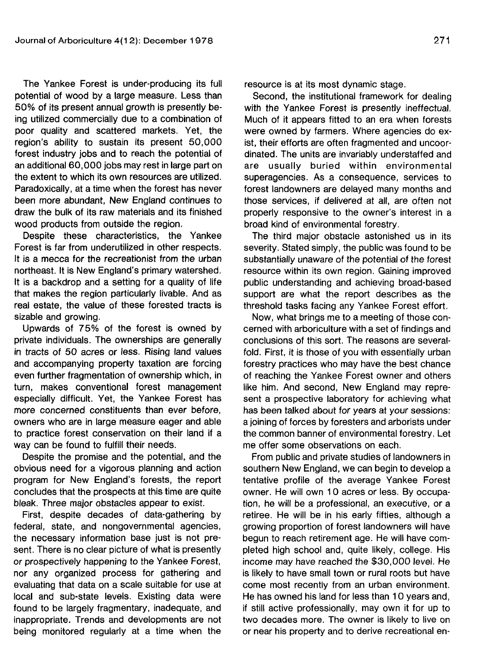The Yankee Forest is under-producing its full potential of wood by a large measure. Less than 50% of its present annual growth is presently being utilized commercially due to a combination of poor quality and scattered markets. Yet, the region's ability to sustain its present 50,000 forest industry jobs and to reach the potential of an additional 60,000 jobs may rest in large part on the extent to which its own resources are utilized. Paradoxically, at a time when the forest has never been more abundant, New England continues to draw the bulk of its raw materials and its finished wood products from outside the region.

Despite these characteristics, the Yankee Forest is far from underutilized in other respects. It is a mecca for the recreationist from the urban northeast. It is New England's primary watershed. It is a backdrop and a setting for a quality of life that makes the region particularly livable. And as real estate, the value of these forested tracts is sizable and growing.

Upwards of 75% of the forest is owned by private individuals. The ownerships are generally in tracts of 50 acres or less. Rising land values and accompanying property taxation are forcing even further fragmentation of ownership which, in turn, makes conventional forest management especially difficult. Yet, the Yankee Forest has more concerned constituents than ever before, owners who are in large measure eager and able to practice forest conservation on their land if a way can be found to fulfill their needs.

Despite the promise and the potential, and the obvious need for a vigorous planning and action program for New England's forests, the report concludes that the prospects at this time are quite bleak. Three major obstacles appear to exist.

First, despite decades of data-gathering by federal, state, and nongovernmental agencies, the necessary information base just is not present. There is no clear picture of what is presently or prospectively happening to the Yankee Forest, nor any organized process for gathering and evaluating that data on a scale suitable for use at local and sub-state levels. Existing data were found to be largely fragmentary, inadequate, and inappropriate. Trends and developments are not being monitored regularly at a time when the resource is at its most dynamic stage.

Second, the institutional framework for dealing with the Yankee Forest is presently ineffectual. Much of it appears fitted to an era when forests were owned by farmers. Where agencies do exist, their efforts are often fragmented and uncoordinated. The units are invariably understaffed and are usually buried within environmental superagencies. As a consequence, services to forest landowners are delayed many months and those services, if delivered at all, are often not properly responsive to the owner's interest in a broad kind of environmental forestry.

The third major obstacle astonished us in its severity. Stated simply, the public was found to be substantially unaware of the potential of the forest resource within its own region. Gaining improved public understanding and achieving broad-based support are what the report describes as the threshold tasks facing any Yankee Forest effort.

Now, what brings me to a meeting of those concerned with arboriculture with a set of findings and conclusions of this sort. The reasons are severalfold. First, it is those of you with essentially urban forestry practices who may have the best chance of reaching the Yankee Forest owner and others like him. And second, New England may represent a prospective laboratory for achieving what has been talked about for years at your sessions: a joining of forces by foresters and arborists under the common banner of environmental forestry. Let me offer some observations on each.

From public and private studies of landowners in southern New England, we can begin to develop a tentative profile of the average Yankee Forest owner. He will own 10 acres or less. By occupation, he will be a professional, an executive, or a retiree. He will be in his early fifties, although a growing proportion of forest landowners will have begun to reach retirement age. He will have completed high school and, quite likely, college. His income may have reached the \$30,000 level. He is likely to have small town or rural roots but have come most recently from an urban environment. He has owned his land for less than 10 years and, if still active professionally, may own it for up to two decades more. The owner is likely to live on or near his property and to derive recreational en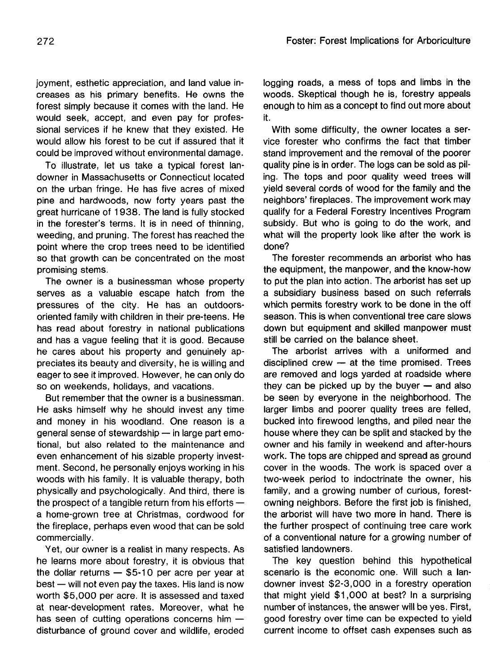joyment, esthetic appreciation, and land value increases as his primary benefits. He owns the forest simply because it comes with the land. He would seek, accept, and even pay for professional services if he knew that they existed. He would allow his forest to be cut if assured that it could be improved without environmental damage.

To illustrate, let us take a typical forest landowner in Massachusetts or Connecticut located on the urban fringe. He has five acres of mixed pine and hardwoods, now forty years past the great hurricane of 1938. The land is fully stocked in the forester's terms. It is in need of thinning, weeding, and pruning. The forest has reached the point where the crop trees need to be identified so that growth can be concentrated on the most promising stems.

The owner is a businessman whose property serves as a valuable escape hatch from the pressures of the city. He has an outdoorsoriented family with children in their pre-teens. He has read about forestry in national publications and has a vague feeling that it is good. Because he cares about his property and genuinely appreciates its beauty and diversity, he is willing and eager to see it improved. However, he can only do so on weekends, holidays, and vacations.

But remember that the owner is a businessman. He asks himself why he should invest any time and money in his woodland. One reason is a general sense of stewardship — in large part emotional, but also related to the maintenance and even enhancement of his sizable property investment. Second, he personally enjoys working in his woods with his family. It is valuable therapy, both physically and psychologically. And third, there is the prospect of a tangible return from his efforts a home-grown tree at Christmas, cordwood for the fireplace, perhaps even wood that can be sold commercially.

Yet, our owner is a realist in many respects. As he learns more about forestry, it is obvious that the dollar returns — \$5-10 per acre per year at best — will not even pay the taxes. His land is now worth \$5,000 per acre. It is assessed and taxed at near-development rates. Moreover, what he has seen of cutting operations concerns him  $$ disturbance of ground cover and wildlife, eroded

logging roads, a mess of tops and limbs in the woods. Skeptical though he is, forestry appeals enough to him as a concept to find out more about it.

With some difficulty, the owner locates a service forester who confirms the fact that timber stand improvement and the removal of the poorer quality pine is in order. The logs can be sold as piling. The tops and poor quality weed trees will yield several cords of wood for the family and the neighbors' fireplaces. The improvement work may qualify for a Federal Forestry Incentives Program subsidy. But who is going to do the work, and what will the property look like after the work is done?

The forester recommends an arborist who has the equipment, the manpower, and the know-how to put the plan into action. The arborist has set up a subsidiary business based on such referrals which permits forestry work to be done in the off season. This is when conventional tree care slows down but equipment and skilled manpower must still be carried on the balance sheet.

The arborist arrives with a uniformed and disciplined crew — at the time promised. Trees are removed and logs yarded at roadside where they can be picked up by the buyer — and also be seen by everyone in the neighborhood. The larger limbs and poorer quality trees are felled, bucked into firewood lengths, and piled near the house where they can be split and stacked by the owner and his family in weekend and after-hours work. The tops are chipped and spread as ground cover in the woods. The work is spaced over a two-week period to indoctrinate the owner, his family, and a growing number of curious, forestowning neighbors. Before the first job is finished, the arborist will have two more in hand. There is the further prospect of continuing tree care work of a conventional nature for a growing number of satisfied landowners.

The key question behind this hypothetical scenario is the economic one. Will such a landowner invest \$2-3,000 in a forestry operation that might yield \$1,000 at best? In a surprising number of instances, the answer will be yes. First, good forestry over time can be expected to yield current income to offset cash expenses such as